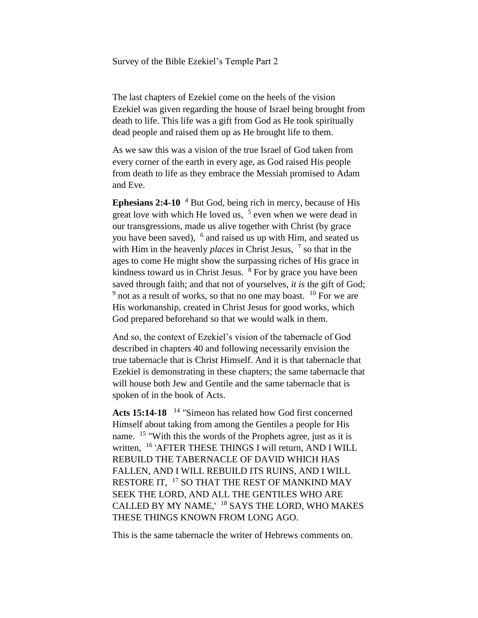Survey of the Bible Ezekiel's Temple Part 2

The last chapters of Ezekiel come on the heels of the vision Ezekiel was given regarding the house of Israel being brought from death to life. This life was a gift from God as He took spiritually dead people and raised them up as He brought life to them.

As we saw this was a vision of the true Israel of God taken from every corner of the earth in every age, as God raised His people from death to life as they embrace the Messiah promised to Adam and Eve.

**Ephesians 2:4-10** <sup>4</sup> But God, being rich in mercy, because of His great love with which He loved us,  $5$  even when we were dead in our transgressions, made us alive together with Christ (by grace you have been saved), <sup>6</sup> and raised us up with Him, and seated us with Him in the heavenly *places* in Christ Jesus,  $\frac{7}{5}$  so that in the ages to come He might show the surpassing riches of His grace in kindness toward us in Christ Jesus. <sup>8</sup> For by grace you have been saved through faith; and that not of yourselves, *it is* the gift of God;  $9<sup>9</sup>$  not as a result of works, so that no one may boast.  $10<sup>10</sup>$  For we are His workmanship, created in Christ Jesus for good works, which God prepared beforehand so that we would walk in them.

And so, the context of Ezekiel's vision of the tabernacle of God described in chapters 40 and following necessarily envision the true tabernacle that is Christ Himself. And it is that tabernacle that Ezekiel is demonstrating in these chapters; the same tabernacle that will house both Jew and Gentile and the same tabernacle that is spoken of in the book of Acts.

**Acts 15:14-18**  <sup>14</sup> "Simeon has related how God first concerned Himself about taking from among the Gentiles a people for His name. <sup>15</sup> "With this the words of the Prophets agree, just as it is written, <sup>16</sup> 'AFTER THESE THINGS I will return, AND I WILL REBUILD THE TABERNACLE OF DAVID WHICH HAS FALLEN, AND I WILL REBUILD ITS RUINS, AND I WILL RESTORE IT, <sup>17</sup> SO THAT THE REST OF MANKIND MAY SEEK THE LORD, AND ALL THE GENTILES WHO ARE CALLED BY MY NAME,' <sup>18</sup> SAYS THE LORD, WHO MAKES THESE THINGS KNOWN FROM LONG AGO.

This is the same tabernacle the writer of Hebrews comments on.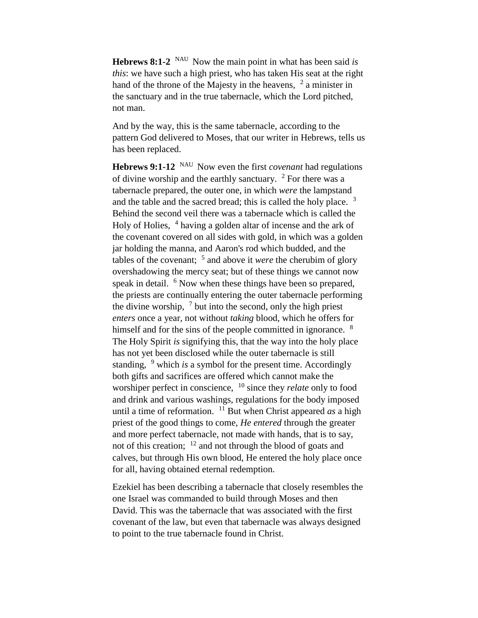**Hebrews 8:1-2** <sup>NAU</sup> Now the main point in what has been said *is this*: we have such a high priest, who has taken His seat at the right hand of the throne of the Majesty in the heavens,  $\frac{2}{3}$  a minister in the sanctuary and in the true tabernacle, which the Lord pitched, not man.

And by the way, this is the same tabernacle, according to the pattern God delivered to Moses, that our writer in Hebrews, tells us has been replaced.

**Hebrews 9:1-12** <sup>NAU</sup> Now even the first *covenant* had regulations of divine worship and the earthly sanctuary.  $2$  For there was a tabernacle prepared, the outer one, in which *were* the lampstand and the table and the sacred bread; this is called the holy place.  $3$ Behind the second veil there was a tabernacle which is called the Holy of Holies, <sup>4</sup> having a golden altar of incense and the ark of the covenant covered on all sides with gold, in which was a golden jar holding the manna, and Aaron's rod which budded, and the tables of the covenant; <sup>5</sup> and above it *were* the cherubim of glory overshadowing the mercy seat; but of these things we cannot now speak in detail. <sup>6</sup> Now when these things have been so prepared, the priests are continually entering the outer tabernacle performing the divine worship,  $\frac{7}{1}$  but into the second, only the high priest *enters* once a year, not without *taking* blood, which he offers for himself and for the sins of the people committed in ignorance. <sup>8</sup> The Holy Spirit *is* signifying this, that the way into the holy place has not yet been disclosed while the outer tabernacle is still standing, <sup>9</sup> which *is* a symbol for the present time. Accordingly both gifts and sacrifices are offered which cannot make the worshiper perfect in conscience, <sup>10</sup> since they *relate* only to food and drink and various washings, regulations for the body imposed until a time of reformation.  $11$  But when Christ appeared *as* a high priest of the good things to come, *He entered* through the greater and more perfect tabernacle, not made with hands, that is to say, not of this creation; <sup>12</sup> and not through the blood of goats and calves, but through His own blood, He entered the holy place once for all, having obtained eternal redemption.

Ezekiel has been describing a tabernacle that closely resembles the one Israel was commanded to build through Moses and then David. This was the tabernacle that was associated with the first covenant of the law, but even that tabernacle was always designed to point to the true tabernacle found in Christ.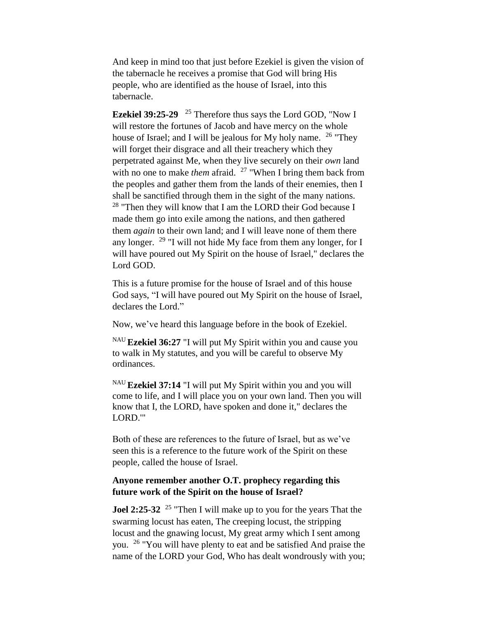And keep in mind too that just before Ezekiel is given the vision of the tabernacle he receives a promise that God will bring His people, who are identified as the house of Israel, into this tabernacle.

**Ezekiel 39:25-29**  <sup>25</sup> Therefore thus says the Lord GOD, "Now I will restore the fortunes of Jacob and have mercy on the whole house of Israel; and I will be jealous for My holy name. <sup>26</sup> "They will forget their disgrace and all their treachery which they perpetrated against Me, when they live securely on their *own* land with no one to make *them* afraid. <sup>27</sup> "When I bring them back from the peoples and gather them from the lands of their enemies, then I shall be sanctified through them in the sight of the many nations. <sup>28</sup> "Then they will know that I am the LORD their God because I made them go into exile among the nations, and then gathered them *again* to their own land; and I will leave none of them there any longer. <sup>29</sup> "I will not hide My face from them any longer, for I will have poured out My Spirit on the house of Israel," declares the Lord GOD.

This is a future promise for the house of Israel and of this house God says, "I will have poured out My Spirit on the house of Israel, declares the Lord."

Now, we've heard this language before in the book of Ezekiel.

NAU **Ezekiel 36:27** "I will put My Spirit within you and cause you to walk in My statutes, and you will be careful to observe My ordinances.

NAU **Ezekiel 37:14** "I will put My Spirit within you and you will come to life, and I will place you on your own land. Then you will know that I, the LORD, have spoken and done it," declares the LORD.'"

Both of these are references to the future of Israel, but as we've seen this is a reference to the future work of the Spirit on these people, called the house of Israel.

## **Anyone remember another O.T. prophecy regarding this future work of the Spirit on the house of Israel?**

**Joel 2:25-32** <sup>25</sup> "Then I will make up to you for the years That the swarming locust has eaten, The creeping locust, the stripping locust and the gnawing locust, My great army which I sent among you. <sup>26</sup> "You will have plenty to eat and be satisfied And praise the name of the LORD your God, Who has dealt wondrously with you;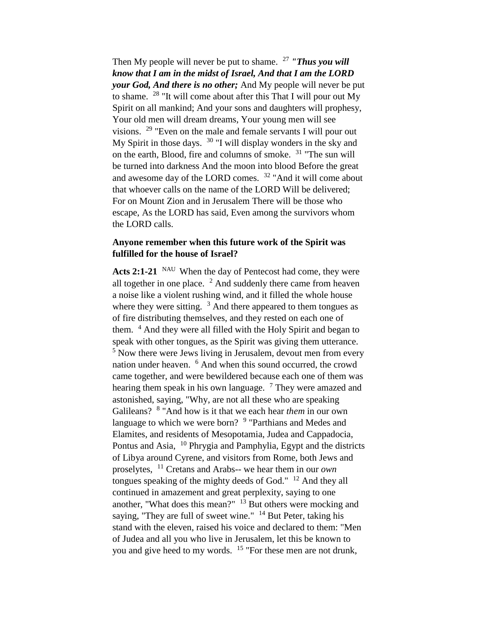Then My people will never be put to shame. <sup>27</sup> *"Thus you will know that I am in the midst of Israel, And that I am the LORD your God, And there is no other;* And My people will never be put to shame. <sup>28</sup> "It will come about after this That I will pour out My Spirit on all mankind; And your sons and daughters will prophesy, Your old men will dream dreams, Your young men will see visions.  $29$  "Even on the male and female servants I will pour out My Spirit in those days. <sup>30</sup> "I will display wonders in the sky and on the earth, Blood, fire and columns of smoke. <sup>31</sup> "The sun will be turned into darkness And the moon into blood Before the great and awesome day of the LORD comes. <sup>32</sup> "And it will come about that whoever calls on the name of the LORD Will be delivered; For on Mount Zion and in Jerusalem There will be those who escape, As the LORD has said, Even among the survivors whom the LORD calls.

## **Anyone remember when this future work of the Spirit was fulfilled for the house of Israel?**

Acts 2:1-21 <sup>NAU</sup> When the day of Pentecost had come, they were all together in one place.  $2$  And suddenly there came from heaven a noise like a violent rushing wind, and it filled the whole house where they were sitting.  $3 \text{ And}$  there appeared to them tongues as of fire distributing themselves, and they rested on each one of them. <sup>4</sup> And they were all filled with the Holy Spirit and began to speak with other tongues, as the Spirit was giving them utterance.  $5$  Now there were Jews living in Jerusalem, devout men from every nation under heaven. <sup>6</sup> And when this sound occurred, the crowd came together, and were bewildered because each one of them was hearing them speak in his own language.  $7$  They were amazed and astonished, saying, "Why, are not all these who are speaking Galileans? <sup>8</sup> "And how is it that we each hear *them* in our own language to which we were born? <sup>9</sup> "Parthians and Medes and Elamites, and residents of Mesopotamia, Judea and Cappadocia, Pontus and Asia, <sup>10</sup> Phrygia and Pamphylia, Egypt and the districts of Libya around Cyrene, and visitors from Rome, both Jews and proselytes, <sup>11</sup> Cretans and Arabs-- we hear them in our *own*  tongues speaking of the mighty deeds of God."  $12$  And they all continued in amazement and great perplexity, saying to one another, "What does this mean?"  $13$  But others were mocking and saying, "They are full of sweet wine." <sup>14</sup> But Peter, taking his stand with the eleven, raised his voice and declared to them: "Men of Judea and all you who live in Jerusalem, let this be known to you and give heed to my words. <sup>15</sup> "For these men are not drunk,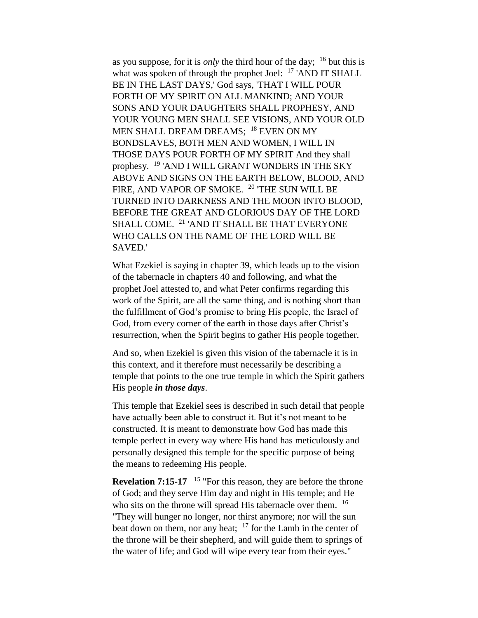as you suppose, for it is *only* the third hour of the day; <sup>16</sup> but this is what was spoken of through the prophet Joel:  $^{17}$  'AND IT SHALL BE IN THE LAST DAYS,' God says, 'THAT I WILL POUR FORTH OF MY SPIRIT ON ALL MANKIND; AND YOUR SONS AND YOUR DAUGHTERS SHALL PROPHESY, AND YOUR YOUNG MEN SHALL SEE VISIONS, AND YOUR OLD MEN SHALL DREAM DREAMS; <sup>18</sup> EVEN ON MY BONDSLAVES, BOTH MEN AND WOMEN, I WILL IN THOSE DAYS POUR FORTH OF MY SPIRIT And they shall prophesy. <sup>19</sup> 'AND I WILL GRANT WONDERS IN THE SKY ABOVE AND SIGNS ON THE EARTH BELOW, BLOOD, AND FIRE, AND VAPOR OF SMOKE. <sup>20</sup> 'THE SUN WILL BE TURNED INTO DARKNESS AND THE MOON INTO BLOOD, BEFORE THE GREAT AND GLORIOUS DAY OF THE LORD SHALL COME. <sup>21</sup> 'AND IT SHALL BE THAT EVERYONE WHO CALLS ON THE NAME OF THE LORD WILL BE SAVED.'

What Ezekiel is saying in chapter 39, which leads up to the vision of the tabernacle in chapters 40 and following, and what the prophet Joel attested to, and what Peter confirms regarding this work of the Spirit, are all the same thing, and is nothing short than the fulfillment of God's promise to bring His people, the Israel of God, from every corner of the earth in those days after Christ's resurrection, when the Spirit begins to gather His people together.

And so, when Ezekiel is given this vision of the tabernacle it is in this context, and it therefore must necessarily be describing a temple that points to the one true temple in which the Spirit gathers His people *in those days*.

This temple that Ezekiel sees is described in such detail that people have actually been able to construct it. But it's not meant to be constructed. It is meant to demonstrate how God has made this temple perfect in every way where His hand has meticulously and personally designed this temple for the specific purpose of being the means to redeeming His people.

**Revelation 7:15-17** <sup>15</sup> "For this reason, they are before the throne of God; and they serve Him day and night in His temple; and He who sits on the throne will spread His tabernacle over them. <sup>16</sup> "They will hunger no longer, nor thirst anymore; nor will the sun beat down on them, nor any heat;  $17$  for the Lamb in the center of the throne will be their shepherd, and will guide them to springs of the water of life; and God will wipe every tear from their eyes."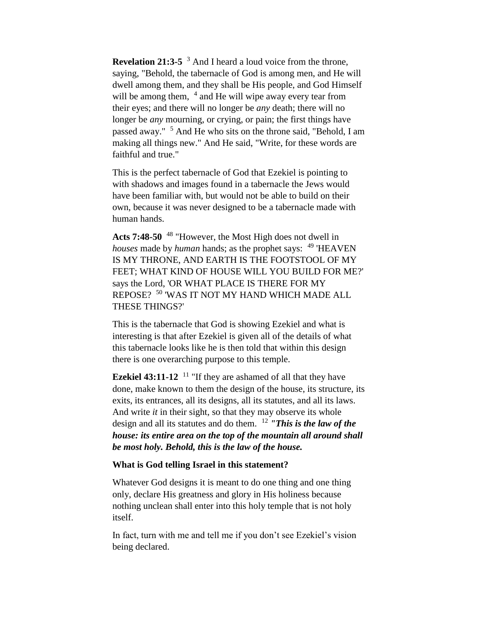**Revelation 21:3-5** <sup>3</sup> And I heard a loud voice from the throne, saying, "Behold, the tabernacle of God is among men, and He will dwell among them, and they shall be His people, and God Himself will be among them, <sup>4</sup> and He will wipe away every tear from their eyes; and there will no longer be *any* death; there will no longer be *any* mourning, or crying, or pain; the first things have passed away." <sup>5</sup> And He who sits on the throne said, "Behold, I am making all things new." And He said, "Write, for these words are faithful and true."

This is the perfect tabernacle of God that Ezekiel is pointing to with shadows and images found in a tabernacle the Jews would have been familiar with, but would not be able to build on their own, because it was never designed to be a tabernacle made with human hands.

**Acts 7:48-50** <sup>48</sup> "However, the Most High does not dwell in *houses* made by *human* hands; as the prophet says: <sup>49</sup> 'HEAVEN IS MY THRONE, AND EARTH IS THE FOOTSTOOL OF MY FEET; WHAT KIND OF HOUSE WILL YOU BUILD FOR ME?' says the Lord, 'OR WHAT PLACE IS THERE FOR MY REPOSE? <sup>50</sup> 'WAS IT NOT MY HAND WHICH MADE ALL THESE THINGS?'

This is the tabernacle that God is showing Ezekiel and what is interesting is that after Ezekiel is given all of the details of what this tabernacle looks like he is then told that within this design there is one overarching purpose to this temple.

**Ezekiel 43:11-12** <sup>11</sup> "If they are ashamed of all that they have done, make known to them the design of the house, its structure, its exits, its entrances, all its designs, all its statutes, and all its laws. And write *it* in their sight, so that they may observe its whole design and all its statutes and do them. <sup>12</sup> *"This is the law of the house: its entire area on the top of the mountain all around shall be most holy. Behold, this is the law of the house.*

## **What is God telling Israel in this statement?**

Whatever God designs it is meant to do one thing and one thing only, declare His greatness and glory in His holiness because nothing unclean shall enter into this holy temple that is not holy itself.

In fact, turn with me and tell me if you don't see Ezekiel's vision being declared.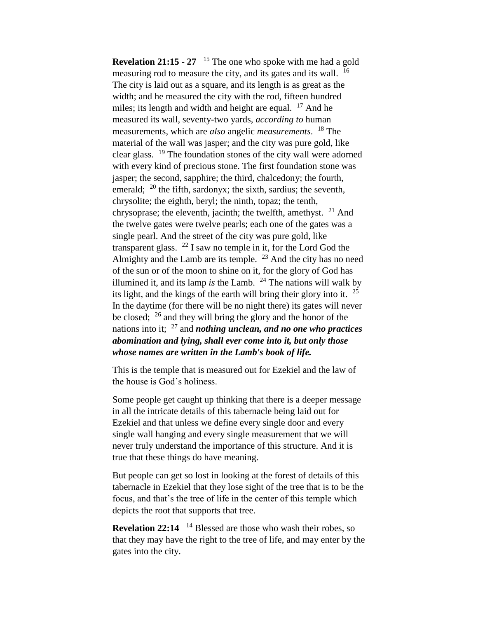**Revelation 21:15 - 27** <sup>15</sup> The one who spoke with me had a gold measuring rod to measure the city, and its gates and its wall. <sup>16</sup> The city is laid out as a square, and its length is as great as the width; and he measured the city with the rod, fifteen hundred miles; its length and width and height are equal.  $17$  And he measured its wall, seventy-two yards, *according to* human measurements, which are *also* angelic *measurements*. <sup>18</sup> The material of the wall was jasper; and the city was pure gold, like clear glass. <sup>19</sup> The foundation stones of the city wall were adorned with every kind of precious stone. The first foundation stone was jasper; the second, sapphire; the third, chalcedony; the fourth, emerald;  $^{20}$  the fifth, sardonyx; the sixth, sardius; the seventh, chrysolite; the eighth, beryl; the ninth, topaz; the tenth, chrysoprase; the eleventh, jacinth; the twelfth, amethyst.  $21$  And the twelve gates were twelve pearls; each one of the gates was a single pearl. And the street of the city was pure gold, like transparent glass.  $^{22}$  I saw no temple in it, for the Lord God the Almighty and the Lamb are its temple.  $^{23}$  And the city has no need of the sun or of the moon to shine on it, for the glory of God has illumined it, and its lamp *is* the Lamb. <sup>24</sup> The nations will walk by its light, and the kings of the earth will bring their glory into it. <sup>25</sup> In the daytime (for there will be no night there) its gates will never be closed; <sup>26</sup> and they will bring the glory and the honor of the nations into it; <sup>27</sup> and *nothing unclean, and no one who practices abomination and lying, shall ever come into it, but only those whose names are written in the Lamb's book of life.*

This is the temple that is measured out for Ezekiel and the law of the house is God's holiness.

Some people get caught up thinking that there is a deeper message in all the intricate details of this tabernacle being laid out for Ezekiel and that unless we define every single door and every single wall hanging and every single measurement that we will never truly understand the importance of this structure. And it is true that these things do have meaning.

But people can get so lost in looking at the forest of details of this tabernacle in Ezekiel that they lose sight of the tree that is to be the focus, and that's the tree of life in the center of this temple which depicts the root that supports that tree.

**Revelation 22:14** <sup>14</sup> Blessed are those who wash their robes, so that they may have the right to the tree of life, and may enter by the gates into the city.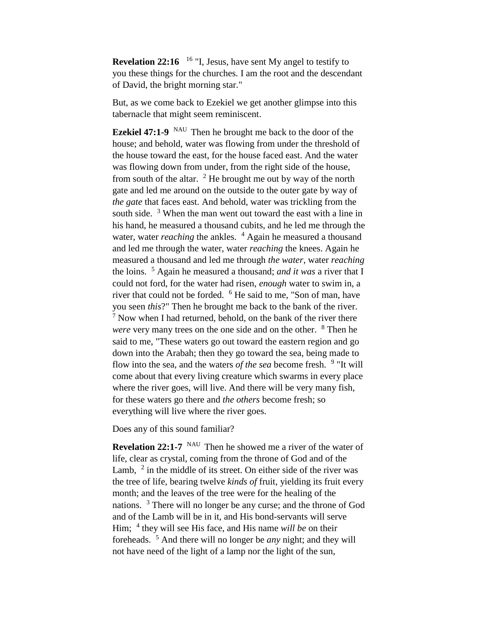**Revelation 22:16** <sup>16</sup> "I, Jesus, have sent My angel to testify to you these things for the churches. I am the root and the descendant of David, the bright morning star."

But, as we come back to Ezekiel we get another glimpse into this tabernacle that might seem reminiscent.

**Ezekiel 47:1-9** NAU Then he brought me back to the door of the house; and behold, water was flowing from under the threshold of the house toward the east, for the house faced east. And the water was flowing down from under, from the right side of the house, from south of the altar.  $2$  He brought me out by way of the north gate and led me around on the outside to the outer gate by way of *the gate* that faces east. And behold, water was trickling from the south side.  $3$  When the man went out toward the east with a line in his hand, he measured a thousand cubits, and he led me through the water, water *reaching* the ankles. <sup>4</sup> Again he measured a thousand and led me through the water, water *reaching* the knees. Again he measured a thousand and led me through *the water*, water *reaching* the loins. <sup>5</sup> Again he measured a thousand; *and it was* a river that I could not ford, for the water had risen, *enough* water to swim in, a river that could not be forded. <sup>6</sup> He said to me, "Son of man, have you seen *this*?" Then he brought me back to the bank of the river.  $<sup>7</sup>$  Now when I had returned, behold, on the bank of the river there</sup> *were* very many trees on the one side and on the other. <sup>8</sup> Then he said to me, "These waters go out toward the eastern region and go down into the Arabah; then they go toward the sea, being made to flow into the sea, and the waters *of the sea* become fresh. <sup>9</sup> "It will come about that every living creature which swarms in every place where the river goes, will live. And there will be very many fish, for these waters go there and *the others* become fresh; so everything will live where the river goes.

Does any of this sound familiar?

**Revelation 22:1-7** <sup>NAU</sup> Then he showed me a river of the water of life, clear as crystal, coming from the throne of God and of the Lamb,  $2$  in the middle of its street. On either side of the river was the tree of life, bearing twelve *kinds of* fruit, yielding its fruit every month; and the leaves of the tree were for the healing of the nations. <sup>3</sup> There will no longer be any curse; and the throne of God and of the Lamb will be in it, and His bond-servants will serve Him; <sup>4</sup> they will see His face, and His name *will be* on their foreheads. <sup>5</sup> And there will no longer be *any* night; and they will not have need of the light of a lamp nor the light of the sun,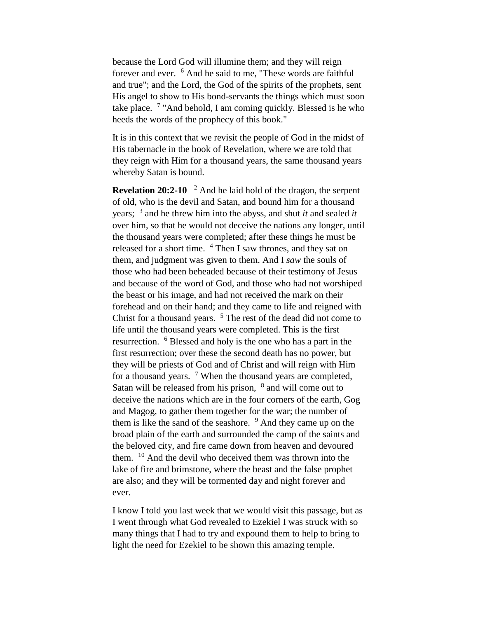because the Lord God will illumine them; and they will reign forever and ever. <sup>6</sup> And he said to me, "These words are faithful and true"; and the Lord, the God of the spirits of the prophets, sent His angel to show to His bond-servants the things which must soon take place. <sup>7</sup> "And behold, I am coming quickly. Blessed is he who heeds the words of the prophecy of this book."

It is in this context that we revisit the people of God in the midst of His tabernacle in the book of Revelation, where we are told that they reign with Him for a thousand years, the same thousand years whereby Satan is bound.

**Revelation 20:2-10** <sup>2</sup> And he laid hold of the dragon, the serpent of old, who is the devil and Satan, and bound him for a thousand years; <sup>3</sup> and he threw him into the abyss, and shut *it* and sealed *it*  over him, so that he would not deceive the nations any longer, until the thousand years were completed; after these things he must be released for a short time. <sup>4</sup> Then I saw thrones, and they sat on them, and judgment was given to them. And I *saw* the souls of those who had been beheaded because of their testimony of Jesus and because of the word of God, and those who had not worshiped the beast or his image, and had not received the mark on their forehead and on their hand; and they came to life and reigned with Christ for a thousand years. <sup>5</sup> The rest of the dead did not come to life until the thousand years were completed. This is the first resurrection. <sup>6</sup> Blessed and holy is the one who has a part in the first resurrection; over these the second death has no power, but they will be priests of God and of Christ and will reign with Him for a thousand years.  $\frac{7}{7}$  When the thousand years are completed, Satan will be released from his prison,  $8$  and will come out to deceive the nations which are in the four corners of the earth, Gog and Magog, to gather them together for the war; the number of them is like the sand of the seashore.  $9$  And they came up on the broad plain of the earth and surrounded the camp of the saints and the beloved city, and fire came down from heaven and devoured them. <sup>10</sup> And the devil who deceived them was thrown into the lake of fire and brimstone, where the beast and the false prophet are also; and they will be tormented day and night forever and ever.

I know I told you last week that we would visit this passage, but as I went through what God revealed to Ezekiel I was struck with so many things that I had to try and expound them to help to bring to light the need for Ezekiel to be shown this amazing temple.